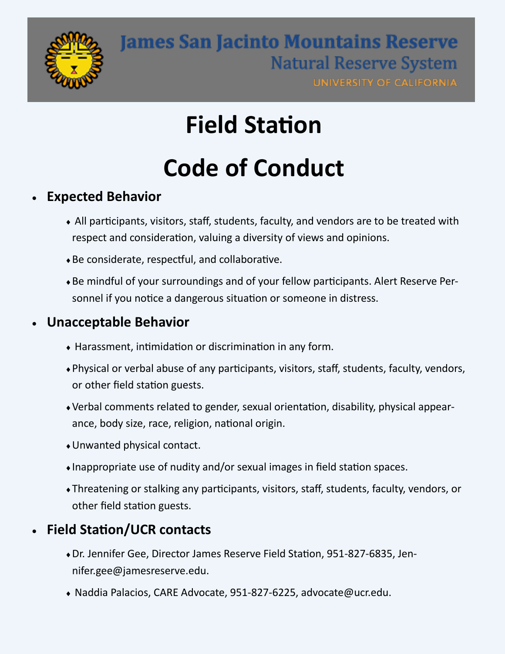

# **Field Station**

# **Code of Conduct**

#### **Expected Behavior**

- All participants, visitors, staff, students, faculty, and vendors are to be treated with respect and consideration, valuing a diversity of views and opinions.
- Be considerate, respectful, and collaborative.
- Be mindful of your surroundings and of your fellow participants. Alert Reserve Personnel if you notice a dangerous situation or someone in distress.

#### **Unacceptable Behavior**

- Harassment, intimidation or discrimination in any form.
- Physical or verbal abuse of any participants, visitors, staff, students, faculty, vendors, or other field station guests.
- Verbal comments related to gender, sexual orientation, disability, physical appearance, body size, race, religion, national origin.
- Unwanted physical contact.
- Inappropriate use of nudity and/or sexual images in field station spaces.
- Threatening or stalking any participants, visitors, staff, students, faculty, vendors, or other field station guests.

#### **Field Station/UCR contacts**

- Dr. Jennifer Gee, Director James Reserve Field Station, 951-827-6835, Jennifer.gee@jamesreserve.edu.
- Naddia Palacios, CARE Advocate, 951-827-6225, advocate@ucr.edu.